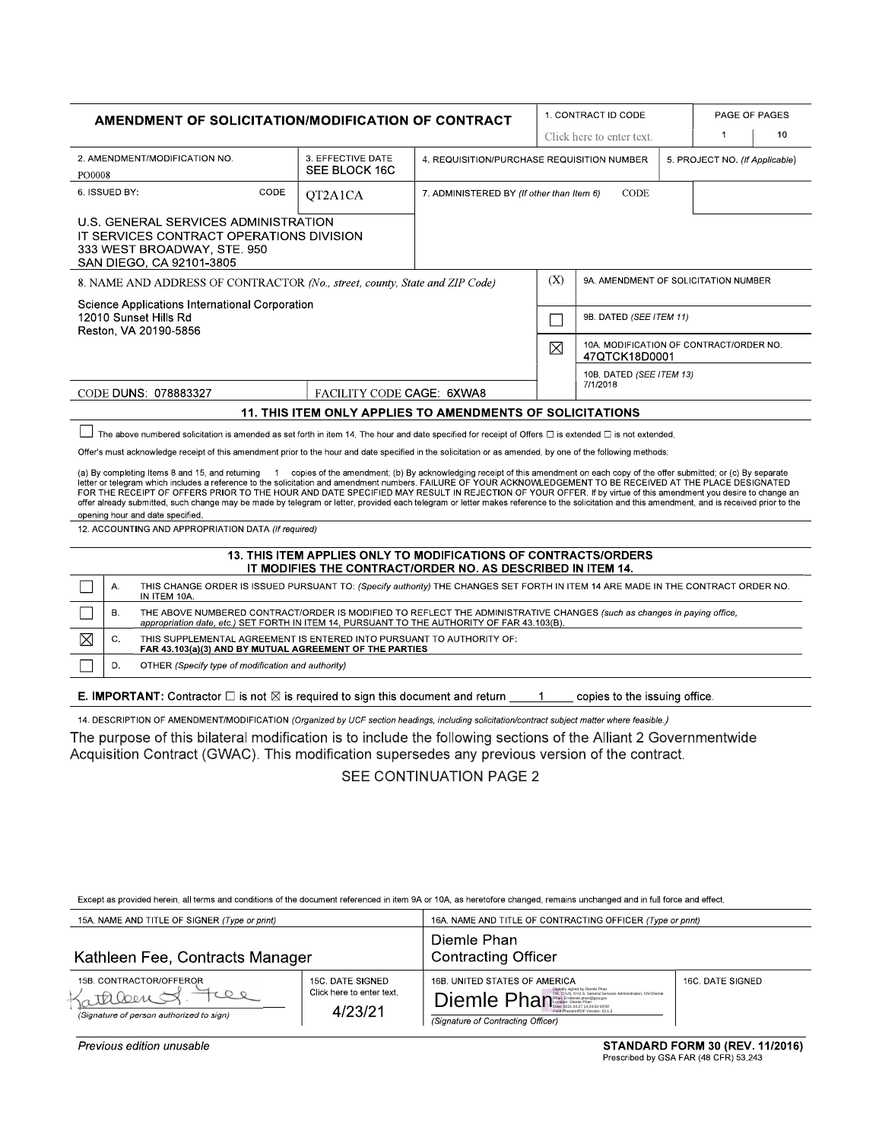| AMENDMENT OF SOLICITATION/MODIFICATION OF CONTRACT                                                                                                                                                                                                                                                                                                                                                                                                                                                                                                                                                                                                                                                                                                        |                                                                                                                                               |                                                                                                                                | 1. CONTRACT ID CODE                               |                                                          |  | PAGE OF PAGES                  |    |
|-----------------------------------------------------------------------------------------------------------------------------------------------------------------------------------------------------------------------------------------------------------------------------------------------------------------------------------------------------------------------------------------------------------------------------------------------------------------------------------------------------------------------------------------------------------------------------------------------------------------------------------------------------------------------------------------------------------------------------------------------------------|-----------------------------------------------------------------------------------------------------------------------------------------------|--------------------------------------------------------------------------------------------------------------------------------|---------------------------------------------------|----------------------------------------------------------|--|--------------------------------|----|
|                                                                                                                                                                                                                                                                                                                                                                                                                                                                                                                                                                                                                                                                                                                                                           |                                                                                                                                               | Click here to enter text.                                                                                                      |                                                   |                                                          |  | 1                              | 10 |
| 2. AMENDMENT/MODIFICATION NO.<br>PO0008                                                                                                                                                                                                                                                                                                                                                                                                                                                                                                                                                                                                                                                                                                                   | 3. EFFECTIVE DATE<br>SEE BLOCK 16C                                                                                                            | 4. REQUISITION/PURCHASE REQUISITION NUMBER                                                                                     |                                                   |                                                          |  | 5. PROJECT NO. (If Applicable) |    |
| CODE<br>6. ISSUED BY:                                                                                                                                                                                                                                                                                                                                                                                                                                                                                                                                                                                                                                                                                                                                     | QT2A1CA                                                                                                                                       |                                                                                                                                | CODE<br>7. ADMINISTERED BY (If other than Item 6) |                                                          |  |                                |    |
| U.S. GENERAL SERVICES ADMINISTRATION<br>IT SERVICES CONTRACT OPERATIONS DIVISION<br>333 WEST BROADWAY, STE. 950<br>SAN DIEGO, CA 92101-3805                                                                                                                                                                                                                                                                                                                                                                                                                                                                                                                                                                                                               |                                                                                                                                               |                                                                                                                                |                                                   |                                                          |  |                                |    |
| 8. NAME AND ADDRESS OF CONTRACTOR (No., street, county, State and ZIP Code)                                                                                                                                                                                                                                                                                                                                                                                                                                                                                                                                                                                                                                                                               |                                                                                                                                               |                                                                                                                                | (X)                                               | 9A. AMENDMENT OF SOLICITATION NUMBER                     |  |                                |    |
| Science Applications International Corporation<br>12010 Sunset Hills Rd<br>Reston, VA 20190-5856                                                                                                                                                                                                                                                                                                                                                                                                                                                                                                                                                                                                                                                          |                                                                                                                                               |                                                                                                                                |                                                   | 9B. DATED (SEE ITEM 11)                                  |  |                                |    |
|                                                                                                                                                                                                                                                                                                                                                                                                                                                                                                                                                                                                                                                                                                                                                           |                                                                                                                                               |                                                                                                                                | $\boxtimes$                                       | 10A. MODIFICATION OF CONTRACT/ORDER NO.<br>47QTCK18D0001 |  |                                |    |
| CODE DUNS: 078883327                                                                                                                                                                                                                                                                                                                                                                                                                                                                                                                                                                                                                                                                                                                                      | FACILITY CODE CAGE: 6XWA8                                                                                                                     |                                                                                                                                |                                                   | 10B. DATED (SEE ITEM 13)<br>7/1/2018                     |  |                                |    |
| <b>11. THIS ITEM ONLY APPLIES TO AMENDMENTS OF SOLICITATIONS</b>                                                                                                                                                                                                                                                                                                                                                                                                                                                                                                                                                                                                                                                                                          |                                                                                                                                               |                                                                                                                                |                                                   |                                                          |  |                                |    |
| The above numbered solicitation is amended as set forth in item 14. The hour and date specified for receipt of Offers $\Box$ is extended $\Box$ is not extended.                                                                                                                                                                                                                                                                                                                                                                                                                                                                                                                                                                                          |                                                                                                                                               |                                                                                                                                |                                                   |                                                          |  |                                |    |
| Offer's must acknowledge receipt of this amendment prior to the hour and date specified in the solicitation or as amended, by one of the following methods:                                                                                                                                                                                                                                                                                                                                                                                                                                                                                                                                                                                               |                                                                                                                                               |                                                                                                                                |                                                   |                                                          |  |                                |    |
| (a) By completing Items 8 and 15, and returning 1 copies of the amendment; (b) By acknowledging receipt of this amendment on each copy of the offer submitted; or (c) By separate<br>letter or telegram which includes a reference to the solicitation and amendment numbers. FAILURE OF YOUR ACKNOWLEDGEMENT TO BE RECEIVED AT THE PLACE DESIGNATED<br>FOR THE RECEIPT OF OFFERS PRIOR TO THE HOUR AND DATE SPECIFIED MAY RESULT IN REJECTION OF YOUR OFFER. If by virtue of this amendment you desire to change an<br>offer already submitted, such change may be made by telegram or letter, provided each telegram or letter makes reference to the solicitation and this amendment, and is received prior to the<br>opening hour and date specified. |                                                                                                                                               |                                                                                                                                |                                                   |                                                          |  |                                |    |
| 12. ACCOUNTING AND APPROPRIATION DATA (If required)                                                                                                                                                                                                                                                                                                                                                                                                                                                                                                                                                                                                                                                                                                       |                                                                                                                                               |                                                                                                                                |                                                   |                                                          |  |                                |    |
|                                                                                                                                                                                                                                                                                                                                                                                                                                                                                                                                                                                                                                                                                                                                                           |                                                                                                                                               | 13. THIS ITEM APPLIES ONLY TO MODIFICATIONS OF CONTRACTS/ORDERS<br>IT MODIFIES THE CONTRACT/ORDER NO. AS DESCRIBED IN ITEM 14. |                                                   |                                                          |  |                                |    |
| А.<br>THIS CHANGE ORDER IS ISSUED PURSUANT TO: (Specify authority) THE CHANGES SET FORTH IN ITEM 14 ARE MADE IN THE CONTRACT ORDER NO.<br>IN ITEM 10A.                                                                                                                                                                                                                                                                                                                                                                                                                                                                                                                                                                                                    |                                                                                                                                               |                                                                                                                                |                                                   |                                                          |  |                                |    |
| <b>B.</b><br>THE ABOVE NUMBERED CONTRACT/ORDER IS MODIFIED TO REFLECT THE ADMINISTRATIVE CHANGES (such as changes in paying office,<br>appropriation date, etc.) SET FORTH IN ITEM 14, PURSUANT TO THE AUTHORITY OF FAR 43.103(B).                                                                                                                                                                                                                                                                                                                                                                                                                                                                                                                        |                                                                                                                                               |                                                                                                                                |                                                   |                                                          |  |                                |    |
| ⊠<br>C.<br>THIS SUPPLEMENTAL AGREEMENT IS ENTERED INTO PURSUANT TO AUTHORITY OF:<br>FAR 43.103(a)(3) AND BY MUTUAL AGREEMENT OF THE PARTIES                                                                                                                                                                                                                                                                                                                                                                                                                                                                                                                                                                                                               |                                                                                                                                               |                                                                                                                                |                                                   |                                                          |  |                                |    |
| D.<br>OTHER (Specify type of modification and authority)                                                                                                                                                                                                                                                                                                                                                                                                                                                                                                                                                                                                                                                                                                  |                                                                                                                                               |                                                                                                                                |                                                   |                                                          |  |                                |    |
| <b>E. IMPORTANT:</b> Contractor $\Box$ is not $\boxtimes$ is required to sign this document and return<br>copies to the issuing office.<br>$\mathbf{1}$                                                                                                                                                                                                                                                                                                                                                                                                                                                                                                                                                                                                   |                                                                                                                                               |                                                                                                                                |                                                   |                                                          |  |                                |    |
|                                                                                                                                                                                                                                                                                                                                                                                                                                                                                                                                                                                                                                                                                                                                                           | 14. DESCRIPTION OF AMENDMENT/MODIFICATION (Organized by UCF section headings, including solicitation/contract subject matter where feasible.) |                                                                                                                                |                                                   |                                                          |  |                                |    |
| The purpose of this bilateral modification is to include the following sections of the Alliant 2 Governmentwide<br>Acquisition Contract (GWAC). This modification supersedes any previous version of the contract.                                                                                                                                                                                                                                                                                                                                                                                                                                                                                                                                        |                                                                                                                                               |                                                                                                                                |                                                   |                                                          |  |                                |    |

SEE CONTINUATION PAGE 2

Except as provided herein, all terms and conditions of the document referenced in item 9A or 10A, as heretofore changed, remains unchanged and in full force and effect.

| 15A. NAME AND TITLE OF SIGNER (Type or print)                                  |                                                          | 16A. NAME AND TITLE OF CONTRACTING OFFICER (Type or print)                                                             |                  |  |  |
|--------------------------------------------------------------------------------|----------------------------------------------------------|------------------------------------------------------------------------------------------------------------------------|------------------|--|--|
| Kathleen Fee, Contracts Manager                                                |                                                          | Diemle Phan<br><b>Contracting Officer</b>                                                                              |                  |  |  |
| 15B. CONTRACTOR/OFFEROR<br>atalent<br>(Signature of person authorized to sign) | 15C. DATE SIGNED<br>Click here to enter text.<br>4/23/21 | 16B. UNITED STATES OF AMERICA<br>Diemle Phan<br>Foxit PhantomPDF Version: 10.1.3<br>(Signature of Contracting Officer) | 16C. DATE SIGNED |  |  |

Previous edition unusable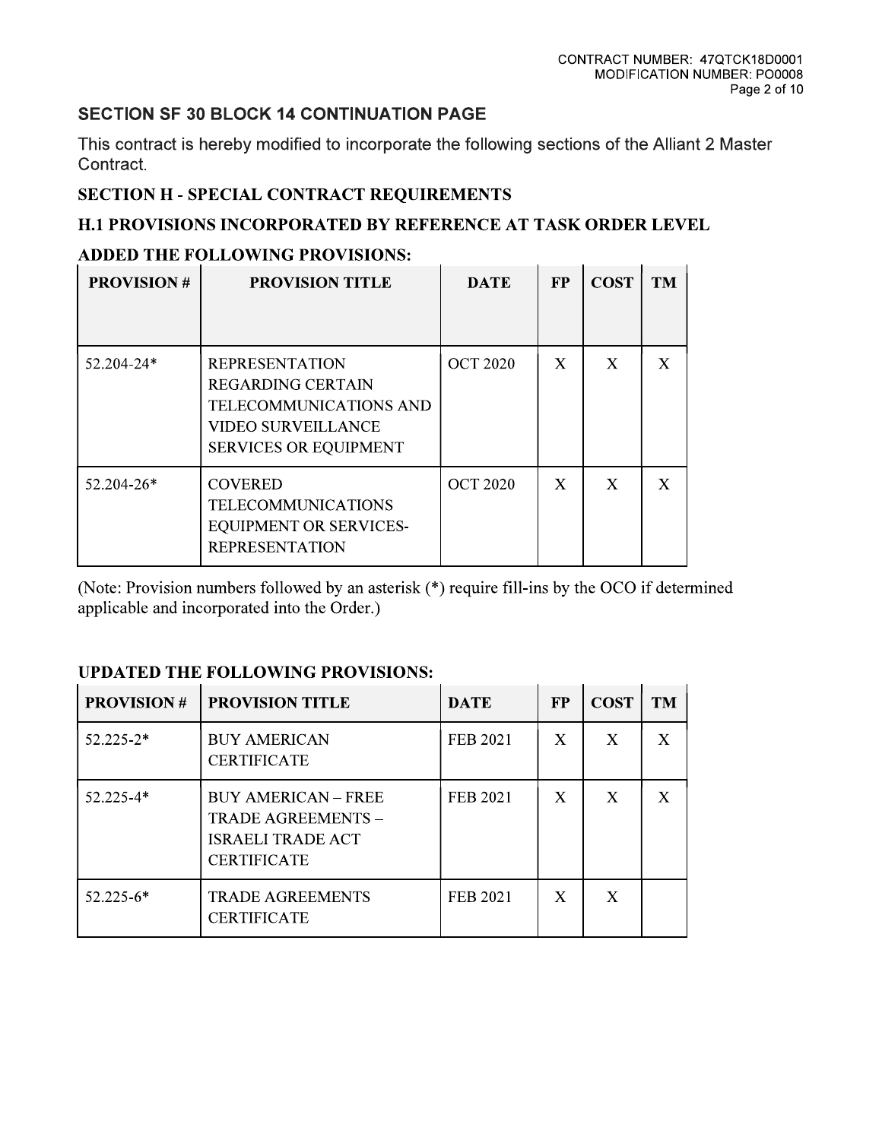# **SECTION SF 30 BLOCK 14 CONTINUATION PAGE**

This contract is hereby modified to incorporate the following sections of the Alliant 2 Master Contract.

# **SECTION H - SPECIAL CONTRACT REQUIREMENTS**

# H.1 PROVISIONS INCORPORATED BY REFERENCE AT TASK ORDER LEVEL

# ADDED THE FOLLOWING PROVISIONS:

| <b>PROVISION#</b> | <b>PROVISION TITLE</b>                                                                                                                          | <b>DATE</b>     | <b>FP</b> | <b>COST</b> | <b>TM</b> |
|-------------------|-------------------------------------------------------------------------------------------------------------------------------------------------|-----------------|-----------|-------------|-----------|
| 52.204-24*        | <b>REPRESENTATION</b><br><b>REGARDING CERTAIN</b><br><b>TELECOMMUNICATIONS AND</b><br><b>VIDEO SURVEILLANCE</b><br><b>SERVICES OR EQUIPMENT</b> | <b>OCT 2020</b> | X         | X           | X         |
| $52.204 - 26*$    | <b>COVERED</b><br><b>TELECOMMUNICATIONS</b><br><b>EQUIPMENT OR SERVICES-</b><br><b>REPRESENTATION</b>                                           | <b>OCT 2020</b> | X         | X           | X         |

(Note: Provision numbers followed by an asterisk (\*) require fill-ins by the OCO if determined applicable and incorporated into the Order.)

## **UPDATED THE FOLLOWING PROVISIONS:**

| <b>PROVISION#</b> | <b>PROVISION TITLE</b>                                                                             | <b>DATE</b>     | <b>FP</b>   | <b>COST</b> | <b>TM</b>    |
|-------------------|----------------------------------------------------------------------------------------------------|-----------------|-------------|-------------|--------------|
| $52.225 - 2*$     | <b>BUY AMERICAN</b><br><b>CERTIFICATE</b>                                                          | <b>FEB 2021</b> | X           | X           | X            |
| $52.225 - 4*$     | <b>BUY AMERICAN - FREE</b><br>TRADE AGREEMENTS -<br><b>ISRAELI TRADE ACT</b><br><b>CERTIFICATE</b> | FEB 2021        | X           | X           | $\mathbf{X}$ |
| $52.225 - 6*$     | <b>TRADE AGREEMENTS</b><br><b>CERTIFICATE</b>                                                      | <b>FEB 2021</b> | $\mathbf X$ | X           |              |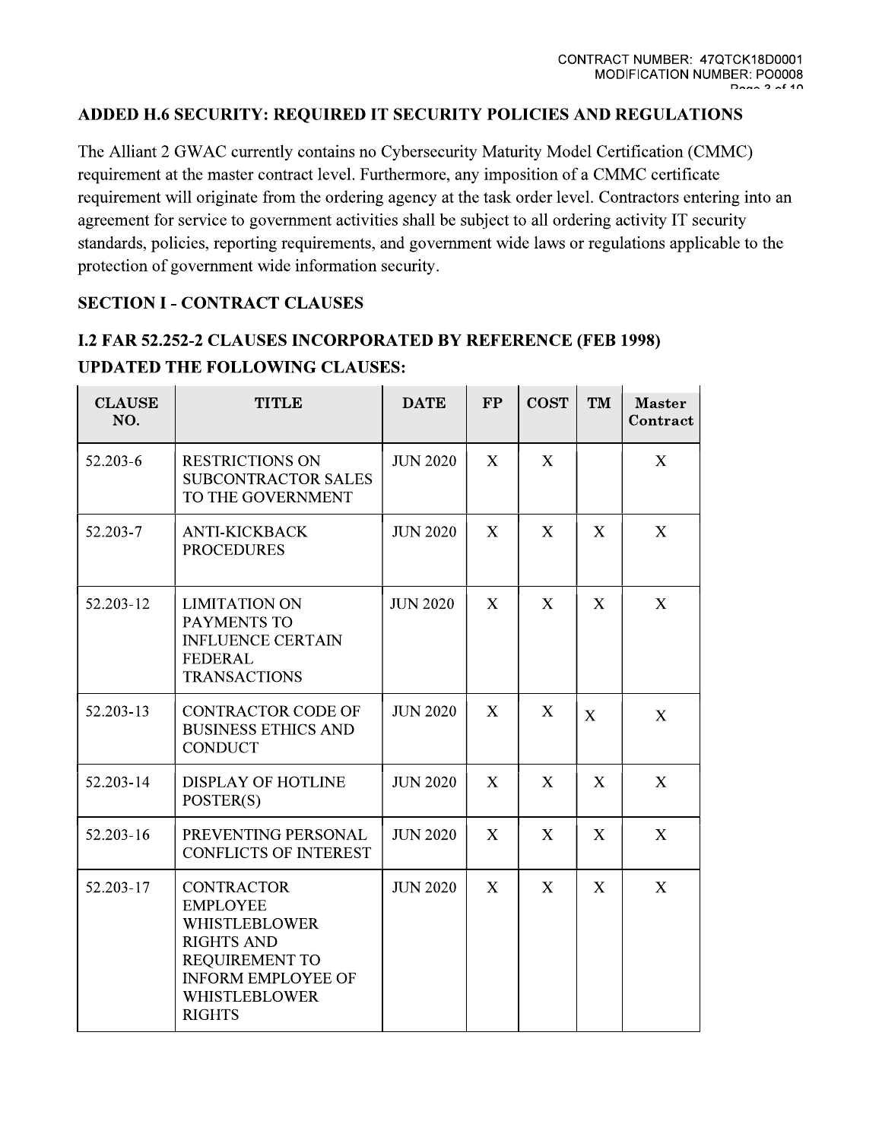CONTRACT NUMBER: 47QTCK18D0001<br>MODIFICATION NUMBER: PO0008<br>MODIFICATION NUMBER: PO0008<br>The Alliant 2 GWAC currently contains no Cybersecurity Maturity Model Certification (CMMC)<br>requirement at the master contract level. Fu protection of government wide information security.

|                      | The Alliant 2 GWAC currently contains no Cybersecurity Maturity Model Certification (C<br>requirement at the master contract level. Furthermore, any imposition of a CMMC certific<br>requirement will originate from the ordering agency at the task order level. Contractors en<br>agreement for service to government activities shall be subject to all ordering activity IT so<br>standards, policies, reporting requirements, and government wide laws or regulations appli<br>protection of government wide information security. |                 |               |             |                           |                           |
|----------------------|------------------------------------------------------------------------------------------------------------------------------------------------------------------------------------------------------------------------------------------------------------------------------------------------------------------------------------------------------------------------------------------------------------------------------------------------------------------------------------------------------------------------------------------|-----------------|---------------|-------------|---------------------------|---------------------------|
|                      | <b>SECTION I - CONTRACT CLAUSES</b>                                                                                                                                                                                                                                                                                                                                                                                                                                                                                                      |                 |               |             |                           |                           |
|                      | <b>I.2 FAR 52.252-2 CLAUSES INCORPORATED BY REFERENCE (FEB 1998)</b><br><b>UPDATED THE FOLLOWING CLAUSES:</b>                                                                                                                                                                                                                                                                                                                                                                                                                            |                 |               |             |                           |                           |
| <b>CLAUSE</b><br>NO. | <b>TITLE</b>                                                                                                                                                                                                                                                                                                                                                                                                                                                                                                                             | <b>DATE</b>     | $\mathbf{FP}$ | <b>COST</b> | TM                        | <b>Master</b><br>Contract |
| 52.203-6             | <b>RESTRICTIONS ON</b><br><b>SUBCONTRACTOR SALES</b><br>TO THE GOVERNMENT                                                                                                                                                                                                                                                                                                                                                                                                                                                                | <b>JUN 2020</b> | X             | X           |                           | X                         |
| 52.203-7             | <b>ANTI-KICKBACK</b><br><b>PROCEDURES</b>                                                                                                                                                                                                                                                                                                                                                                                                                                                                                                | <b>JUN 2020</b> | X             | X           | X                         | X                         |
| 52.203-12            | <b>LIMITATION ON</b><br>PAYMENTS TO<br><b>INFLUENCE CERTAIN</b><br><b>FEDERAL</b><br><b>TRANSACTIONS</b>                                                                                                                                                                                                                                                                                                                                                                                                                                 | <b>JUN 2020</b> | X             | $\mathbf X$ | X                         | X                         |
| 52.203-13            | <b>CONTRACTOR CODE OF</b><br><b>BUSINESS ETHICS AND</b><br><b>CONDUCT</b>                                                                                                                                                                                                                                                                                                                                                                                                                                                                | <b>JUN 2020</b> | X             | X           | $\mathbf X$               | $\mathbf X$               |
| 52.203-14            | <b>DISPLAY OF HOTLINE</b><br>POSTER(S)                                                                                                                                                                                                                                                                                                                                                                                                                                                                                                   | <b>JUN 2020</b> | X             | $\mathbf X$ | $\boldsymbol{\mathrm{X}}$ | $\boldsymbol{\mathrm{X}}$ |
| 52.203-16            | PREVENTING PERSONAL<br><b>CONFLICTS OF INTEREST</b>                                                                                                                                                                                                                                                                                                                                                                                                                                                                                      | <b>JUN 2020</b> | X             | X           | X                         | X                         |
| 52.203-17            | <b>CONTRACTOR</b><br><b>EMPLOYEE</b><br><b>WHISTLEBLOWER</b><br><b>RIGHTS AND</b><br><b>REQUIREMENT TO</b><br><b>INFORM EMPLOYEE OF</b><br><b>WHISTLEBLOWER</b><br><b>RIGHTS</b>                                                                                                                                                                                                                                                                                                                                                         | <b>JUN 2020</b> | X             | X           | X                         | X                         |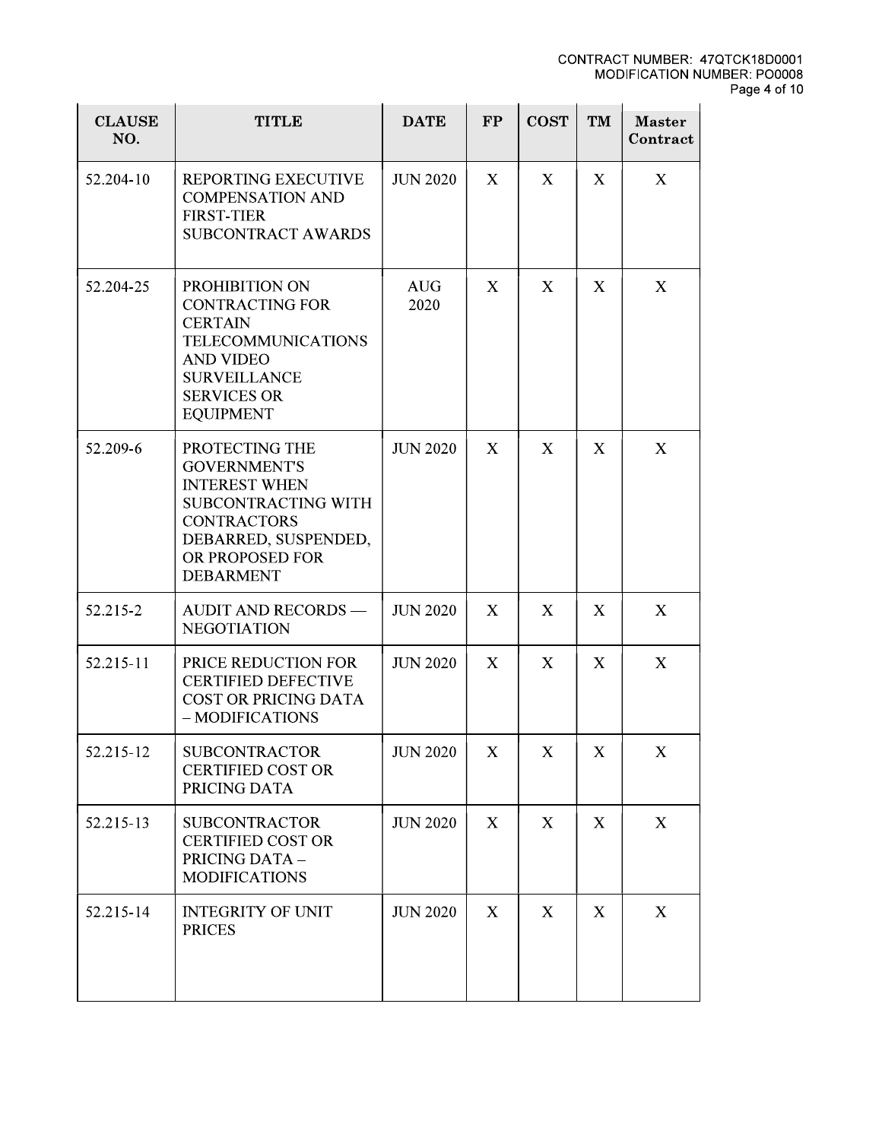|                      |                                                                                                                                                                              |                    |           |             |                  | <b>CONTRACT NUMBER: 4</b><br><b>MODIFICATION N</b> |
|----------------------|------------------------------------------------------------------------------------------------------------------------------------------------------------------------------|--------------------|-----------|-------------|------------------|----------------------------------------------------|
| <b>CLAUSE</b><br>NO. | <b>TITLE</b>                                                                                                                                                                 | <b>DATE</b>        | <b>FP</b> | <b>COST</b> | TM               | <b>Master</b><br>Contract                          |
| 52.204-10            | <b>REPORTING EXECUTIVE</b><br><b>COMPENSATION AND</b><br><b>FIRST-TIER</b><br><b>SUBCONTRACT AWARDS</b>                                                                      | <b>JUN 2020</b>    | X         | X           | X                | X                                                  |
| 52.204-25            | PROHIBITION ON<br><b>CONTRACTING FOR</b><br><b>CERTAIN</b><br><b>TELECOMMUNICATIONS</b><br><b>AND VIDEO</b><br><b>SURVEILLANCE</b><br><b>SERVICES OR</b><br><b>EQUIPMENT</b> | <b>AUG</b><br>2020 | X         | X           | X                | X                                                  |
| 52.209-6             | PROTECTING THE<br><b>GOVERNMENT'S</b><br><b>INTEREST WHEN</b><br>SUBCONTRACTING WITH<br><b>CONTRACTORS</b><br>DEBARRED, SUSPENDED,<br>OR PROPOSED FOR<br><b>DEBARMENT</b>    | <b>JUN 2020</b>    | X         | X           | $\boldsymbol{X}$ | X                                                  |
| 52.215-2             | <b>AUDIT AND RECORDS —</b><br><b>NEGOTIATION</b>                                                                                                                             | <b>JUN 2020</b>    | X         | X           | X                | X                                                  |
| 52.215-11            | PRICE REDUCTION FOR<br><b>CERTIFIED DEFECTIVE</b><br><b>COST OR PRICING DATA</b><br>- MODIFICATIONS                                                                          | <b>JUN 2020</b>    | X         | X           | X                | X                                                  |
| 52.215-12            | <b>SUBCONTRACTOR</b><br><b>CERTIFIED COST OR</b><br>PRICING DATA                                                                                                             | <b>JUN 2020</b>    | X         | X           | X                | X                                                  |
| 52.215-13            | <b>SUBCONTRACTOR</b><br><b>CERTIFIED COST OR</b><br>PRICING DATA -<br><b>MODIFICATIONS</b>                                                                                   | <b>JUN 2020</b>    | X         | X           | X                | X                                                  |
| 52.215-14            | <b>INTEGRITY OF UNIT</b><br><b>PRICES</b>                                                                                                                                    | <b>JUN 2020</b>    | X         | X           | X                | X                                                  |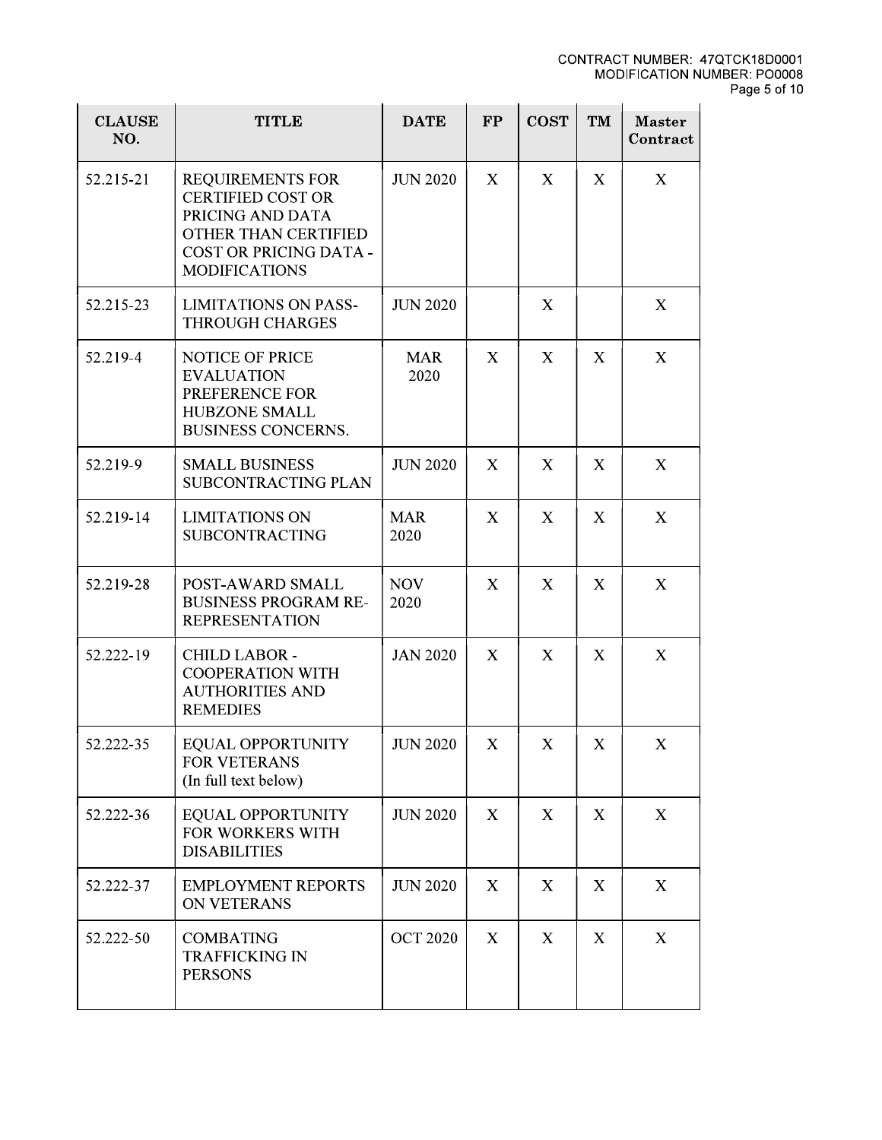|                      |                                                                                                                                                          |                    |    |                           |              | <b>CONTRACT NUMBER: 47QT</b><br><b>MODIFICATION NUMB</b> |
|----------------------|----------------------------------------------------------------------------------------------------------------------------------------------------------|--------------------|----|---------------------------|--------------|----------------------------------------------------------|
| <b>CLAUSE</b><br>NO. | <b>TITLE</b>                                                                                                                                             | <b>DATE</b>        | FP | <b>COST</b>               | TM           | <b>Master</b><br>Contract                                |
| 52.215-21            | <b>REQUIREMENTS FOR</b><br><b>CERTIFIED COST OR</b><br>PRICING AND DATA<br>OTHER THAN CERTIFIED<br><b>COST OR PRICING DATA -</b><br><b>MODIFICATIONS</b> | <b>JUN 2020</b>    | X  | X                         | $\mathbf{X}$ | X                                                        |
| 52.215-23            | <b>LIMITATIONS ON PASS-</b><br><b>THROUGH CHARGES</b>                                                                                                    | <b>JUN 2020</b>    |    | X                         |              | X                                                        |
| 52.219-4             | <b>NOTICE OF PRICE</b><br><b>EVALUATION</b><br>PREFERENCE FOR<br>HUBZONE SMALL<br><b>BUSINESS CONCERNS.</b>                                              | <b>MAR</b><br>2020 | X  | X                         | X            | X                                                        |
| 52.219-9             | <b>SMALL BUSINESS</b><br><b>SUBCONTRACTING PLAN</b>                                                                                                      | <b>JUN 2020</b>    | X  | X                         | X            | X                                                        |
| 52.219-14            | <b>LIMITATIONS ON</b><br><b>SUBCONTRACTING</b>                                                                                                           | <b>MAR</b><br>2020 | X  | $\mathbf{X}$              | $\mathbf{X}$ | X                                                        |
| 52.219-28            | POST-AWARD SMALL<br><b>BUSINESS PROGRAM RE-</b><br><b>REPRESENTATION</b>                                                                                 | <b>NOV</b><br>2020 | X  | X                         | X            | X                                                        |
| 52.222-19            | <b>CHILD LABOR -</b><br><b>COOPERATION WITH</b><br><b>AUTHORITIES AND</b><br><b>REMEDIES</b>                                                             | <b>JAN 2020</b>    | X  | X                         | X            | X                                                        |
| 52.222-35            | EQUAL OPPORTUNITY<br><b>FOR VETERANS</b><br>(In full text below)                                                                                         | <b>JUN 2020</b>    | X  | X                         | X            | X                                                        |
| 52.222-36            | <b>EQUAL OPPORTUNITY</b><br>FOR WORKERS WITH<br><b>DISABILITIES</b>                                                                                      | <b>JUN 2020</b>    | X  | X                         | $\mathbf{X}$ | X                                                        |
| 52.222-37            | <b>EMPLOYMENT REPORTS</b><br><b>ON VETERANS</b>                                                                                                          | <b>JUN 2020</b>    | X  | $\boldsymbol{\mathrm{X}}$ | X            | X                                                        |
| 52.222-50            | <b>COMBATING</b><br><b>TRAFFICKING IN</b><br><b>PERSONS</b>                                                                                              | <b>OCT 2020</b>    | X  | X                         | X            | X                                                        |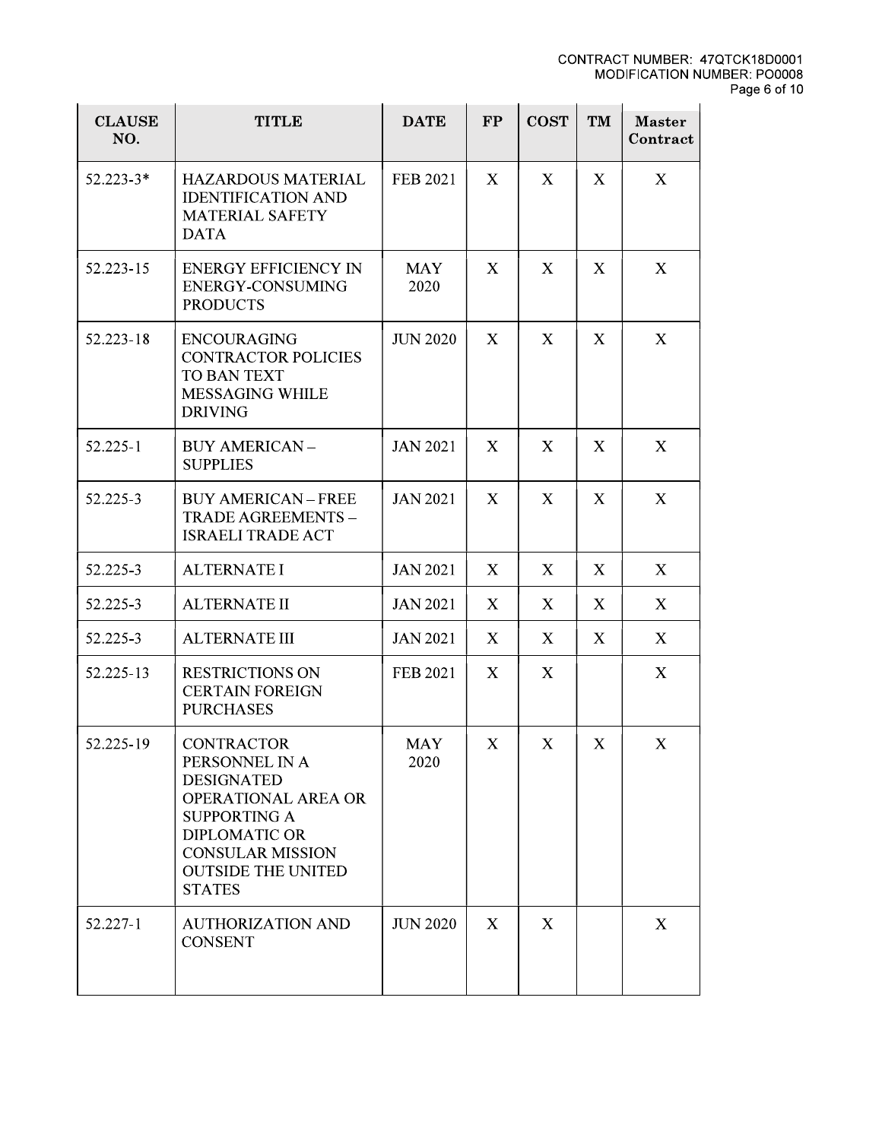| <b>CLAUSE</b><br>NO. | <b>TITLE</b>                                                                                                                                                                                                   | <b>DATE</b>        | FP           | <b>COST</b> | TM           | <b>Master</b><br>Contract |
|----------------------|----------------------------------------------------------------------------------------------------------------------------------------------------------------------------------------------------------------|--------------------|--------------|-------------|--------------|---------------------------|
| $52.223 - 3*$        | <b>HAZARDOUS MATERIAL</b><br><b>IDENTIFICATION AND</b><br><b>MATERIAL SAFETY</b><br><b>DATA</b>                                                                                                                | <b>FEB 2021</b>    | $\mathbf{X}$ | X           | $\mathbf{X}$ | X                         |
| 52.223-15            | <b>ENERGY EFFICIENCY IN</b><br><b>ENERGY-CONSUMING</b><br><b>PRODUCTS</b>                                                                                                                                      | <b>MAY</b><br>2020 | X            | X           | X            | X                         |
| 52.223-18            | <b>ENCOURAGING</b><br><b>CONTRACTOR POLICIES</b><br><b>TO BAN TEXT</b><br><b>MESSAGING WHILE</b><br><b>DRIVING</b>                                                                                             | <b>JUN 2020</b>    | X            | X           | X            | X                         |
| 52.225-1             | <b>BUY AMERICAN -</b><br><b>SUPPLIES</b>                                                                                                                                                                       | <b>JAN 2021</b>    | X            | X           | X            | X                         |
| 52.225-3             | <b>BUY AMERICAN - FREE</b><br>TRADE AGREEMENTS -<br><b>ISRAELI TRADE ACT</b>                                                                                                                                   | <b>JAN 2021</b>    | $\mathbf{X}$ | X           | X            | X                         |
| 52.225-3             | <b>ALTERNATE I</b>                                                                                                                                                                                             | <b>JAN 2021</b>    | $\mathbf{X}$ | X           | X            | X                         |
| 52.225-3             | <b>ALTERNATE II</b>                                                                                                                                                                                            | <b>JAN 2021</b>    | X            | X           | X            | X                         |
| 52.225-3             | <b>ALTERNATE III</b>                                                                                                                                                                                           | <b>JAN 2021</b>    | $\mathbf{X}$ | X           | X            | X                         |
| 52.225-13            | <b>RESTRICTIONS ON</b><br><b>CERTAIN FOREIGN</b><br><b>PURCHASES</b>                                                                                                                                           | FEB 2021           | $\mathbf{X}$ | X           |              | X                         |
| 52.225-19            | <b>CONTRACTOR</b><br>PERSONNEL IN A<br><b>DESIGNATED</b><br><b>OPERATIONAL AREA OR</b><br><b>SUPPORTING A</b><br><b>DIPLOMATIC OR</b><br><b>CONSULAR MISSION</b><br><b>OUTSIDE THE UNITED</b><br><b>STATES</b> | <b>MAY</b><br>2020 | X            | X           | X            | X                         |
| 52.227-1             | <b>AUTHORIZATION AND</b><br><b>CONSENT</b>                                                                                                                                                                     | <b>JUN 2020</b>    | X            | X           |              | $\boldsymbol{X}$          |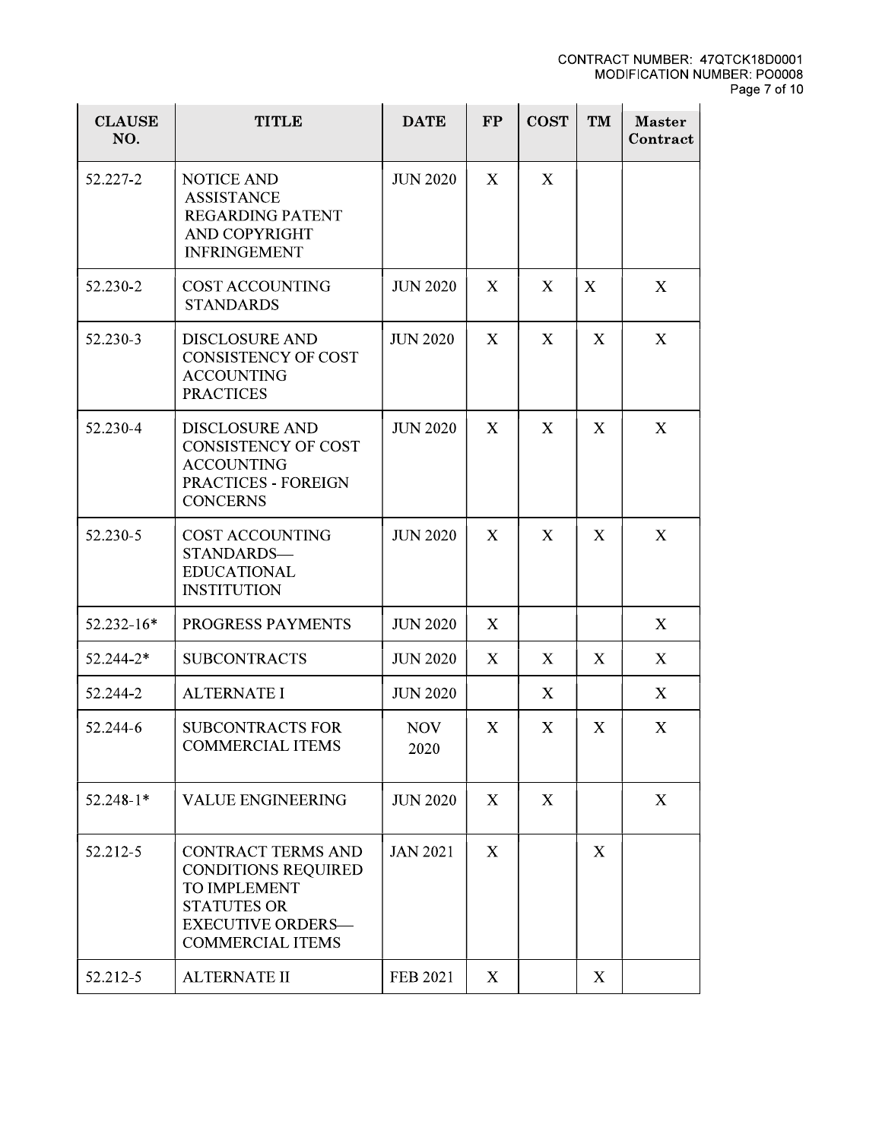|                      |                                                                                                                                                      |                    |    |             |                           | <b>CONTRACT NUMBER: 4</b><br><b>MODIFICATION N</b> |
|----------------------|------------------------------------------------------------------------------------------------------------------------------------------------------|--------------------|----|-------------|---------------------------|----------------------------------------------------|
| <b>CLAUSE</b><br>NO. | <b>TITLE</b>                                                                                                                                         | <b>DATE</b>        | FP | <b>COST</b> | TM                        | <b>Master</b><br>Contract                          |
| 52.227-2             | <b>NOTICE AND</b><br><b>ASSISTANCE</b><br><b>REGARDING PATENT</b><br><b>AND COPYRIGHT</b><br><b>INFRINGEMENT</b>                                     | <b>JUN 2020</b>    | X  | X           |                           |                                                    |
| 52.230-2             | <b>COST ACCOUNTING</b><br><b>STANDARDS</b>                                                                                                           | <b>JUN 2020</b>    | X  | X           | $\boldsymbol{\mathrm{X}}$ | X                                                  |
| 52.230-3             | <b>DISCLOSURE AND</b><br><b>CONSISTENCY OF COST</b><br><b>ACCOUNTING</b><br><b>PRACTICES</b>                                                         | <b>JUN 2020</b>    | X  | X           | X                         | X                                                  |
| 52.230-4             | <b>DISCLOSURE AND</b><br><b>CONSISTENCY OF COST</b><br><b>ACCOUNTING</b><br><b>PRACTICES - FOREIGN</b><br><b>CONCERNS</b>                            | <b>JUN 2020</b>    | X  | X           | X                         | X                                                  |
| 52.230-5             | <b>COST ACCOUNTING</b><br>STANDARDS-<br><b>EDUCATIONAL</b><br><b>INSTITUTION</b>                                                                     | <b>JUN 2020</b>    | X  | X           | X                         | X                                                  |
| 52.232-16*           | PROGRESS PAYMENTS                                                                                                                                    | <b>JUN 2020</b>    | X  |             |                           | X                                                  |
| 52.244-2*            | <b>SUBCONTRACTS</b>                                                                                                                                  | <b>JUN 2020</b>    | X  | X           | X                         | X                                                  |
| 52.244-2             | <b>ALTERNATE I</b>                                                                                                                                   | <b>JUN 2020</b>    |    | X           |                           | X                                                  |
| 52.244-6             | <b>SUBCONTRACTS FOR</b><br><b>COMMERCIAL ITEMS</b>                                                                                                   | <b>NOV</b><br>2020 | X  | X           | X                         | X                                                  |
| $52.248 - 1*$        | <b>VALUE ENGINEERING</b>                                                                                                                             | <b>JUN 2020</b>    | X  | X           |                           | X                                                  |
| 52.212-5             | <b>CONTRACT TERMS AND</b><br><b>CONDITIONS REQUIRED</b><br>TO IMPLEMENT<br><b>STATUTES OR</b><br><b>EXECUTIVE ORDERS-</b><br><b>COMMERCIAL ITEMS</b> | <b>JAN 2021</b>    | X  |             | X                         |                                                    |
| 52.212-5             | <b>ALTERNATE II</b>                                                                                                                                  | FEB 2021           | X  |             | X                         |                                                    |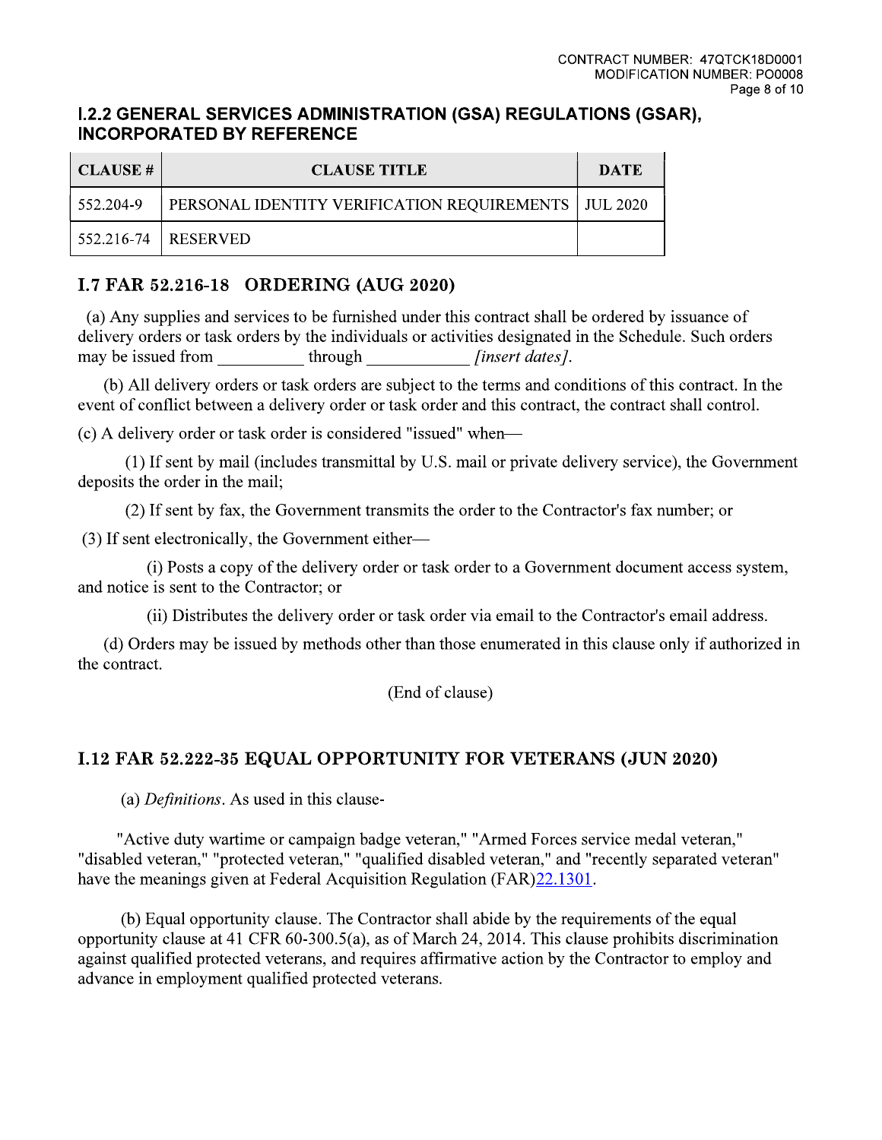### **I.2.2 GENERAL SERVICES ADMINISTRATION (GSA) REGULATIONS (GSAR), INCORPORATED BY REFERENCE**

| CLAUSE #  | <b>CLAUSE TITLE</b>                                           | DATE |
|-----------|---------------------------------------------------------------|------|
| 552.204-9 | <b>PERSONAL IDENTITY VERIFICATION REQUIREMENTS   JUL 2020</b> |      |
|           | 552.216-74   RESERVED                                         |      |

# I.7 FAR 52.216-18 ORDERING (AUG 2020)

(a) Any supplies and services to be furnished under this contract shall be ordered by issuance of delivery orders or task orders by the individuals or activities designated in the Schedule. Such orders may be issued from through [insert dates].

(b) All delivery orders or task orders are subject to the terms and conditions of this contract. In the event of conflict between a delivery order or task order and this contract, the contract shall control.

(c) A delivery order or task order is considered "issued" when-

(1) If sent by mail (includes transmittal by U.S. mail or private delivery service), the Government deposits the order in the mail;

(2) If sent by fax, the Government transmits the order to the Contractor's fax number; or

(3) If sent electronically, the Government either-

(i) Posts a copy of the delivery order or task order to a Government document access system, and notice is sent to the Contractor; or

(ii) Distributes the delivery order or task order via email to the Contractor's email address.

(d) Orders may be issued by methods other than those enumerated in this clause only if authorized in the contract.

(End of clause)

# **I.12 FAR 52.222-35 EQUAL OPPORTUNITY FOR VETERANS (JUN 2020)**

(a) Definitions. As used in this clause-

"Active duty wartime or campaign badge veteran," "Armed Forces service medal veteran," "disabled veteran," "protected veteran," "qualified disabled veteran," and "recently separated veteran" have the meanings given at Federal Acquisition Regulation (FAR) 22.1301.

(b) Equal opportunity clause. The Contractor shall abide by the requirements of the equal opportunity clause at 41 CFR 60-300.5(a), as of March 24, 2014. This clause prohibits discrimination against qualified protected veterans, and requires affirmative action by the Contractor to employ and advance in employment qualified protected veterans.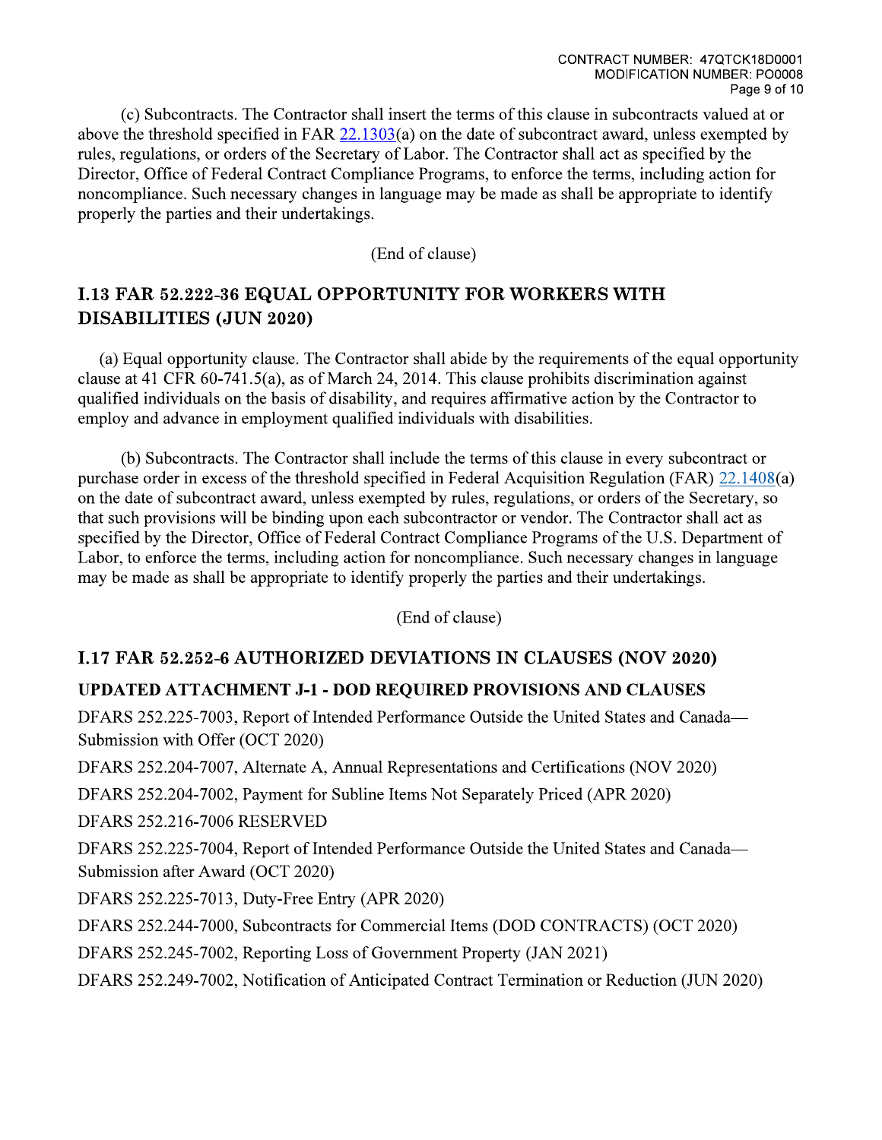(c) Subcontracts. The Contractor shall insert the terms of this clause in subcontracts valued at or above the threshold specified in FAR  $22.1303(a)$  on the date of subcontract award, unless exempted by rules, regulations, or orders of the Secretary of Labor. The Contractor shall act as specified by the Director, Office of Federal Contract Compliance Programs, to enforce the terms, including action for noncompliance. Such necessary changes in language may be made as shall be appropriate to identify properly the parties and their undertakings.

(End of clause)

# **I.13 FAR 52.222-36 EQUAL OPPORTUNITY FOR WORKERS WITH DISABILITIES (JUN 2020)**

(a) Equal opportunity clause. The Contractor shall abide by the requirements of the equal opportunity clause at 41 CFR  $60-741.5(a)$ , as of March 24, 2014. This clause prohibits discrimination against qualified individuals on the basis of disability, and requires affirmative action by the Contractor to employ and advance in employment qualified individuals with disabilities.

(b) Subcontracts. The Contractor shall include the terms of this clause in every subcontract or purchase order in excess of the threshold specified in Federal Acquisition Regulation (FAR) 22.1408(a) on the date of subcontract award, unless exempted by rules, regulations, or orders of the Secretary, so that such provisions will be binding upon each subcontractor or vendor. The Contractor shall act as specified by the Director, Office of Federal Contract Compliance Programs of the U.S. Department of Labor, to enforce the terms, including action for noncompliance. Such necessary changes in language may be made as shall be appropriate to identify properly the parties and their undertakings.

(End of clause)

## **I.17 FAR 52.252-6 AUTHORIZED DEVIATIONS IN CLAUSES (NOV 2020)**

## **UPDATED ATTACHMENT J-1 - DOD REQUIRED PROVISIONS AND CLAUSES**

DFARS 252.225-7003, Report of Intended Performance Outside the United States and Canada-Submission with Offer (OCT 2020)

DFARS 252.204-7007, Alternate A, Annual Representations and Certifications (NOV 2020)

DFARS 252.204-7002, Payment for Subline Items Not Separately Priced (APR 2020)

**DFARS 252.216-7006 RESERVED** 

DFARS 252.225-7004, Report of Intended Performance Outside the United States and Canada— Submission after Award (OCT 2020)

DFARS 252.225-7013, Duty-Free Entry (APR 2020)

DFARS 252.244-7000, Subcontracts for Commercial Items (DOD CONTRACTS) (OCT 2020)

DFARS 252.245-7002, Reporting Loss of Government Property (JAN 2021)

DFARS 252.249-7002, Notification of Anticipated Contract Termination or Reduction (JUN 2020)